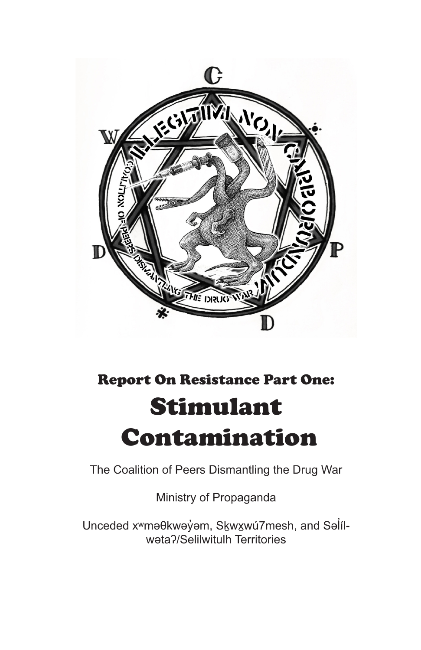

# Report On Resistance Part One: Stimulant Contamination

The Coalition of Peers Dismantling the Drug War

Ministry of Propaganda

Unceded x<sup>w</sup>məθkwəyvm, Skwxwú7mesh, and Salílwətaʔ/Selilwitulh Territories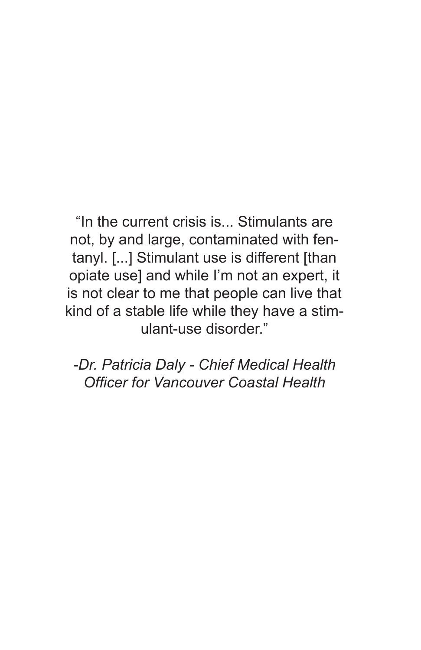"In the current crisis is... Stimulants are not, by and large, contaminated with fentanyl. [...] Stimulant use is different [than opiate use] and while I'm not an expert, it is not clear to me that people can live that kind of a stable life while they have a stimulant-use disorder."

*-Dr. Patricia Daly - Chief Medical Health Officer for Vancouver Coastal Health*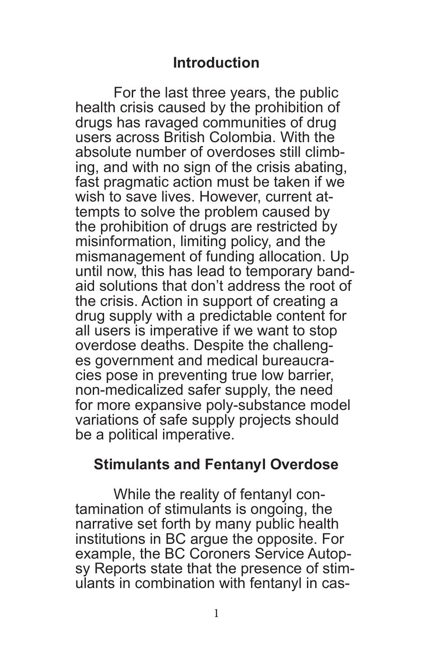## **Introduction**

For the last three years, the public health crisis caused by the prohibition of drugs has ravaged communities of drug users across British Colombia. With the absolute number of overdoses still climbing, and with no sign of the crisis abating, fast pragmatic action must be taken if we wish to save lives. However, current attempts to solve the problem caused by the prohibition of drugs are restricted by misinformation, limiting policy, and the mismanagement of funding allocation. Up until now, this has lead to temporary bandaid solutions that don't address the root of the crisis. Action in support of creating a drug supply with a predictable content for all users is imperative if we want to stop overdose deaths. Despite the challenges government and medical bureaucracies pose in preventing true low barrier, non-medicalized safer supply, the need for more expansive poly-substance model variations of safe supply projects should be a political imperative.

## **Stimulants and Fentanyl Overdose**

While the reality of fentanyl con- tamination of stimulants is ongoing, the narrative set forth by many public health institutions in BC argue the opposite. For example, the BC Coroners Service Autopsy Reports state that the presence of stimulants in combination with fentanyl in cas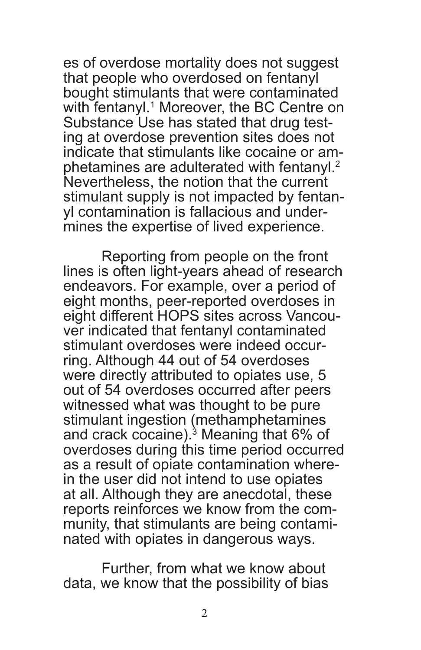es of overdose mortality does not suggest that people who overdosed on fentanyl bought stimulants that were contaminated with fentanyl.<sup>1</sup> Moreover, the BC Centre on Substance Use has stated that drug testing at overdose prevention sites does not indicate that stimulants like cocaine or amphetamines are adulterated with fentanyl.<sup>2</sup> Nevertheless, the notion that the current stimulant supply is not impacted by fentan- yl contamination is fallacious and under- mines the expertise of lived experience.

Reporting from people on the front lines is often light-years ahead of research endeavors. For example, over a period of eight months, peer-reported overdoses in eight different HOPS sites across Vancouver indicated that fentanyl contaminated stimulant overdoses were indeed occurring. Although 44 out of 54 overdoses were directly attributed to opiates use, 5 out of 54 overdoses occurred after peers witnessed what was thought to be pure stimulant ingestion (methamphetamines and crack cocaine).<sup>3</sup> Meaning that 6% of overdoses during this time period occurred as a result of opiate contamination where- in the user did not intend to use opiates at all. Although they are anecdotal, these reports reinforces we know from the community, that stimulants are being contaminated with opiates in dangerous ways.

Further, from what we know about data, we know that the possibility of bias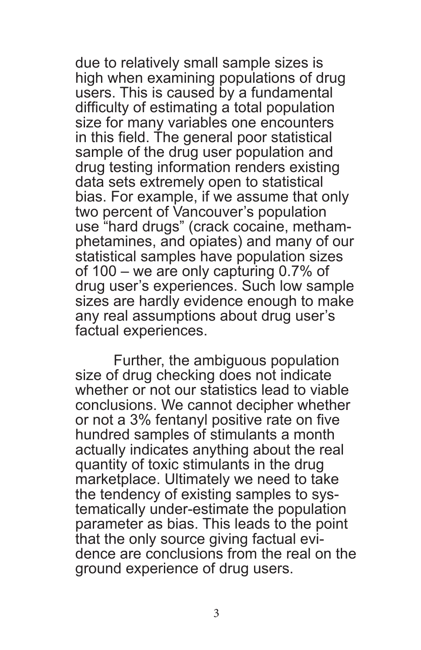due to relatively small sample sizes is high when examining populations of drug users. This is caused by a fundamental difficulty of estimating a total population size for many variables one encounters in this field. The general poor statistical sample of the drug user population and drug testing information renders existing data sets extremely open to statistical bias. For example, if we assume that only two percent of Vancouver's population use "hard drugs" (crack cocaine, metham- phetamines, and opiates) and many of our statistical samples have population sizes of 100 – we are only capturing 0.7% of drug user's experiences. Such low sample sizes are hardly evidence enough to make any real assumptions about drug user's factual experiences.

Further, the ambiguous population size of drug checking does not indicate whether or not our statistics lead to viable conclusions. We cannot decipher whether or not a 3% fentanyl positive rate on five hundred samples of stimulants a month actually indicates anything about the real quantity of toxic stimulants in the drug marketplace. Ultimately we need to take the tendency of existing samples to sys- tematically under-estimate the population parameter as bias. This leads to the point that the only source giving factual evidence are conclusions from the real on the ground experience of drug users.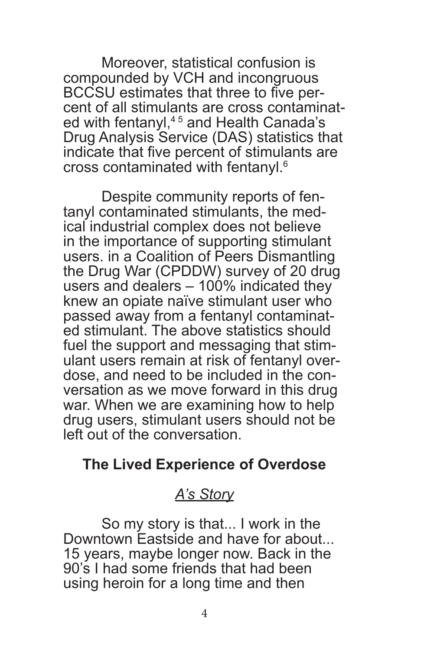Moreover, statistical confusion is compounded by VCH and incongruous BCCSU estimates that three to five percent of all stimulants are cross contaminated with fentanyl,<sup>45</sup> and Health Canada's Drug Analysis Service (DAS) statistics that indicate that five percent of stimulants are cross contaminated with fentanyl.<sup>6</sup>

Despite community reports of fen- tanyl contaminated stimulants, the med- ical industrial complex does not believe in the importance of supporting stimulant users. in a Coalition of Peers Dismantling the Drug War (CPDDW) survey of 20 drug users and dealers – 100% indicated they knew an opiate naïve stimulant user who passed away from a fentanyl contaminated stimulant. The above statistics should fuel the support and messaging that stimulant users remain at risk of fentanyl overversation as we move forward in this drug war. When we are examining how to help drug users, stimulant users should not be left out of the conversation.

# **The Lived Experience of Overdose**

# *A's Story*

So my story is that... I work in the Downtown Eastside and have for about... 15 years, maybe longer now. Back in the 90's I had some friends that had been using heroin for a long time and then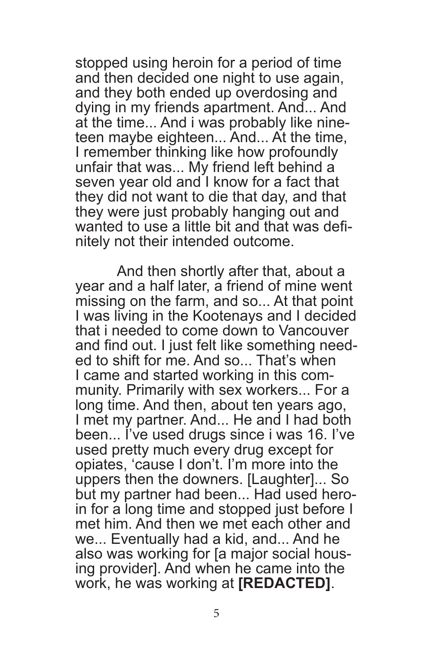stopped using heroin for a period of time and then decided one night to use again, and they both ended up overdosing and dying in my friends apartment. And... And at the time... And i was probably like nineteen maybe eighteen... And... At the time, I remember thinking like how profoundly unfair that was... My friend left behind a seven year old and I know for a fact that they did not want to die that day, and that they were just probably hanging out and wanted to use a little bit and that was defi- nitely not their intended outcome.

 And then shortly after that, about a year and a half later, a friend of mine went missing on the farm, and so... At that point I was living in the Kootenays and I decided that i needed to come down to Vancouver and find out. I just felt like something needed to shift for me. And so... That's when<br>I came and started working in this community. Primarily with sex workers... For a long time. And then, about ten years ago, I met my partner. And... He and I had both been... I've used drugs since i was 16. I've used pretty much every drug except for opiates, 'cause I don't. I'm more into the uppers then the downers. [Laughter]... So but my partner had been... Had used hero- in for a long time and stopped just before I met him. And then we met each other and we... Eventually had a kid, and... And he also was working for [a major social housing provider]. And when he came into the work, he was working at **[REDACTED]**.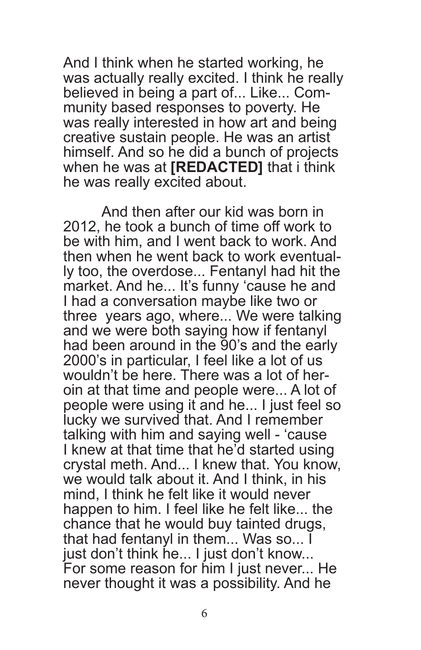And I think when he started working, he was actually really excited. I think he really believed in being a part of... Like... Community based responses to poverty. He was really interested in how art and being creative sustain people. He was an artist himself. And so he did a bunch of projects when he was at **[REDACTED]** that i think he was really excited about.

And then after our kid was born in 2012, he took a bunch of time off work to be with him, and I went back to work. And then when he went back to work eventual-Iy too, the overdose... Fentanyl had hit the market. And he... It's funny 'cause he and I had a conversation maybe like two or three years ago, where... We were talking and we were both saying how if fentanyl had been around in the 90's and the early 2000's in particular, I feel like a lot of us<br>wouldn't be here. There was a lot of heroin at that time and people were... A lot of people were using it and he... I just feel so lucky we survived that. And I remember talking with him and saying well - 'cause I knew at that time that he'd started using crystal meth. And... I knew that. You know, we would talk about it. And I think, in his mind, I think he felt like it would never happen to him. I feel like he felt like... the chance that he would buy tainted drugs, that had fentanyl in them... Was so... I just don't think he... I just don't know... For some reason for him I just never... He never thought it was a possibility. And he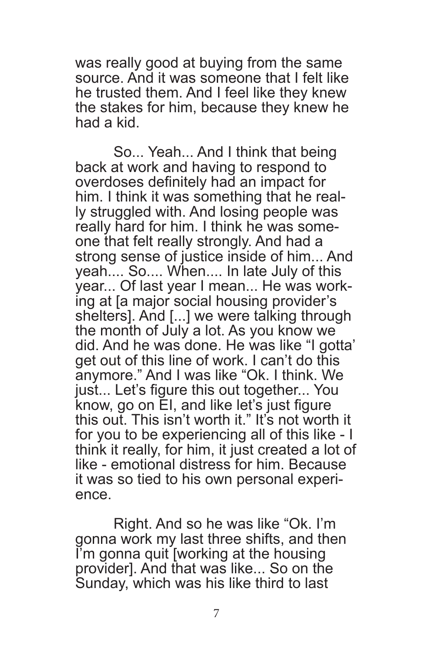was really good at buying from the same source. And it was someone that I felt like he trusted them. And I feel like they knew the stakes for him, because they knew he had a kid.

So... Yeah... And I think that being back at work and having to respond to overdoses definitely had an impact for ly struggled with. And losing people was really hard for him. I think he was someone that felt really strongly. And had a strong sense of justice inside of him... And yeah.... So.... When.... In late July of this<br>vear... Of last year I mean... He was working at Ia major social housing provider's shelters]. And [...] we were talking through the month of July a lot. As you know we did. And he was done. He was like "I gotta' get out of this line of work. I can't do this anymore." And I was like "Ok. I think. We just... Let's figure this out together... You know, go on EI, and like let's just figure this out. This isn't worth it." It's not worth it for you to be experiencing all of this like - I think it really, for him, it just created a lot of like - emotional distress for him. Because it was so tied to his own personal experi- ence.

Right. And so he was like "Ok. I'm gonna work my last three shifts, and then I'm gonna quit [working at the housing provider]. And that was like... So on the Sunday, which was his like third to last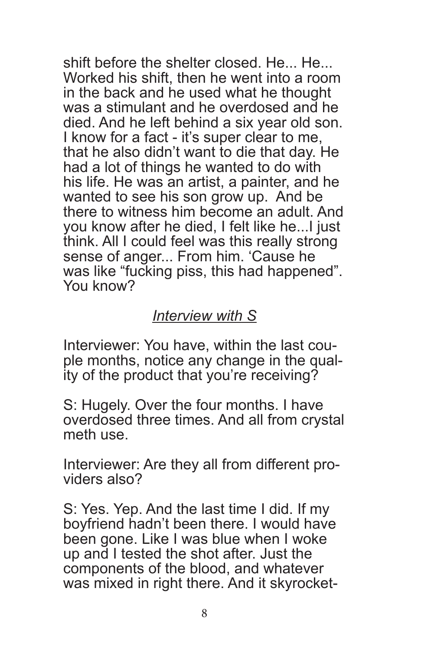shift before the shelter closed. He... He... Worked his shift, then he went into a room in the back and he used what he thought was a stimulant and he overdosed and he died. And he left behind a six year old son. I know for a fact - it's super clear to me, that he also didn't want to die that day. He had a lot of things he wanted to do with his life. He was an artist, a painter, and he wanted to see his son grow up. And be there to witness him become an adult. And you know after he died, I felt like he...I just think. All I could feel was this really strong sense of anger... From him. 'Cause he was like "fucking piss, this had happened". You know?

#### *Interview with S*

Interviewer: You have, within the last couple months, notice any change in the quality of the product that you're receiving?

S: Hugely. Over the four months. I have overdosed three times. And all from crystal meth use.

Interviewer: Are they all from different pro- viders also?

S: Yes. Yep. And the last time I did. If my boyfriend hadn't been there. I would have been gone. Like I was blue when I woke up and I tested the shot after. Just the components of the blood, and whatever was mixed in right there. And it skyrocket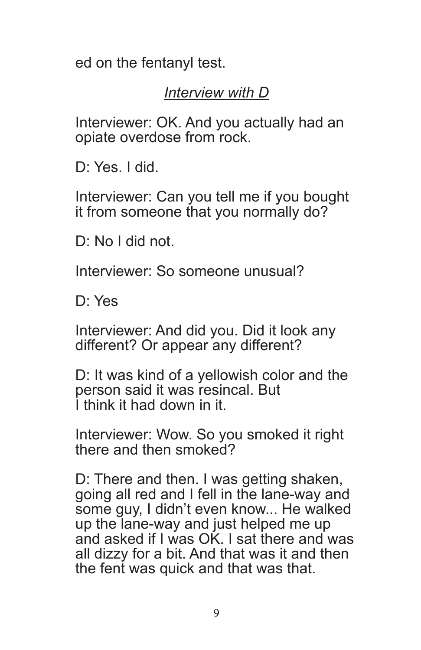ed on the fentanyl test.

# *Interview with D*

Interviewer: OK. And you actually had an opiate overdose from rock.

D: Yes. I did.

Interviewer: Can you tell me if you bought it from someone that you normally do?

D: No I did not.

Interviewer: So someone unusual?

D: Yes

Interviewer: And did you. Did it look any different? Or appear any different?

D: It was kind of a yellowish color and the person said it was resincal. But I think it had down in it.

Interviewer: Wow. So you smoked it right there and then smoked?

D: There and then. I was getting shaken, going all red and I fell in the lane-way and some guy, I didn't even know... He walked up the lane-way and just helped me up and asked if I was OK. I sat there and was all dizzy for a bit. And that was it and then the fent was quick and that was that.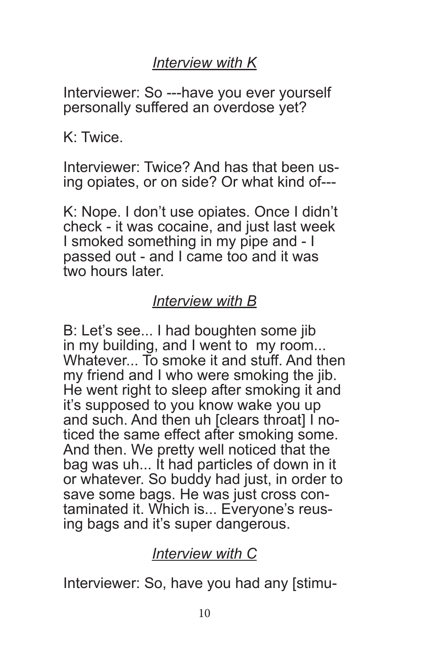# *Interview with K*

Interviewer: So ---have you ever yourself personally suffered an overdose yet?

K: Twice.

Interviewer: Twice? And has that been us- ing opiates, or on side? Or what kind of---

K: Nope. I don't use opiates. Once I didn't check - it was cocaine, and just last week I smoked something in my pipe and - I passed out - and I came too and it was two hours later.

# *Interview with B*

B: Let's see... I had boughten some jib in my building, and I went to my room... Whatever... To smoke it and stuff. And then my friend and I who were smoking the jib. He went right to sleep after smoking it and it's supposed to you know wake you up<br>and such. And then uh [clears throat] I noticed the same effect after smoking some. And then. We pretty well noticed that the bag was uh... It had particles of down in it or whatever. So buddy had just, in order to save some bags. He was just cross contaminated it. Which is... Everyone's reusing bags and it's super dangerous.

# *Interview with C*

Interviewer: So, have you had any [stimu-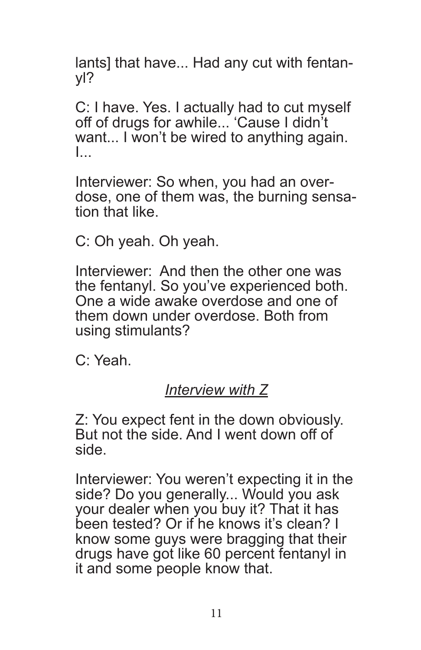lants] that have... Had any cut with fentanyl?

C: I have. Yes. I actually had to cut myself off of drugs for awhile... 'Cause I didn't want... I won't be wired to anything again. I...

Interviewer: So when, you had an over-<br>dose, one of them was, the burning sensa-<br>tion that like

C: Oh yeah. Oh yeah.

Interviewer: And then the other one was the fentanyl. So you've experienced both. One a wide awake overdose and one of them down under overdose. Both from using stimulants?

C: Yeah.

# *Interview with Z*

Z: You expect fent in the down obviously. But not the side. And I went down off of side.

Interviewer: You weren't expecting it in the side? Do you generally... Would you ask your dealer when you buy it? That it has been tested? Or if he knows it's clean? I know some guys were bragging that their drugs have got like 60 percent fentanyl in it and some people know that.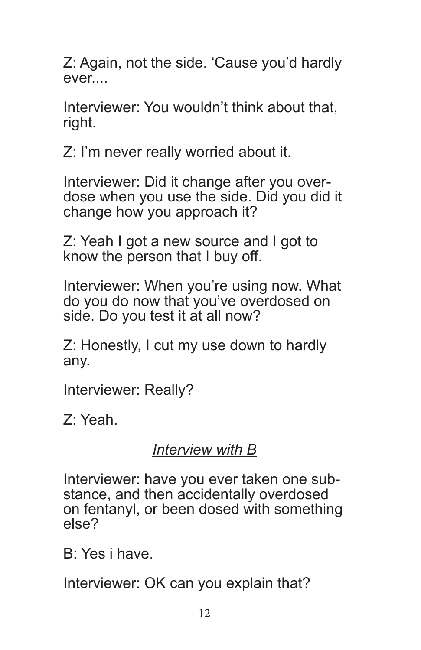Z: Again, not the side. 'Cause you'd hardly ever....

Interviewer: You wouldn't think about that, right.

Z: I'm never really worried about it.

Interviewer: Did it change after you over- dose when you use the side. Did you did it change how you approach it?

Z: Yeah I got a new source and I got to know the person that I buy off.

Interviewer: When you're using now. What do you do now that you've overdosed on side. Do you test it at all now?

Z: Honestly, I cut my use down to hardly any.

Interviewer: Really?

Z: Yeah.

## *Interview with B*

Interviewer: have you ever taken one sub- stance, and then accidentally overdosed on fentanyl, or been dosed with something else?

B: Yes i have.

Interviewer: OK can you explain that?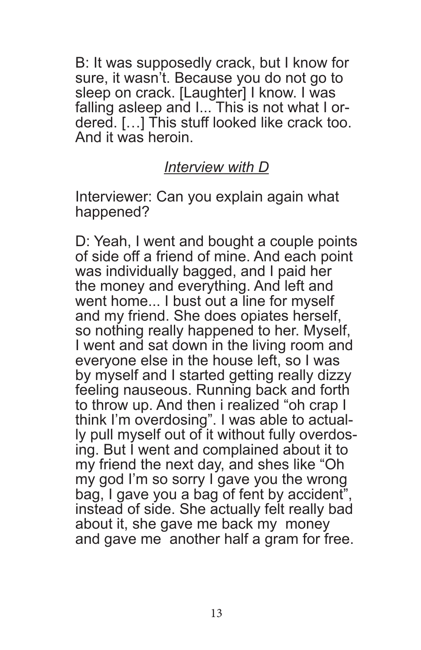B: It was supposedly crack, but I know for sure, it wasn't. Because you do not go to sleep on crack. [Laughter] I know. I was falling asleep and I... This is not what I ordered. […] This stuff looked like crack too. And it was heroin.

## *Interview with D*

Interviewer: Can you explain again what happened?

D: Yeah, I went and bought a couple points of side off a friend of mine. And each point was individually bagged, and I paid her the money and everything. And left and went home... I bust out a line for myself and my friend. She does opiates herself, so nothing really happened to her. Myself, I went and sat down in the living room and everyone else in the house left, so I was by myself and I started getting really dizzy feeling nauseous. Running back and forth to throw up. And then i realized "oh crap I think I'm overdosing". I was able to actual-Iy pull myself out of it without fully overdos-<br>ing. But I went and complained about it to my friend the next day, and shes like "Oh my god I'm so sorry I gave you the wrong bag, I gave you a bag of fent by accident", instead of side. She actually felt really bad about it, she gave me back my money and gave me another half a gram for free.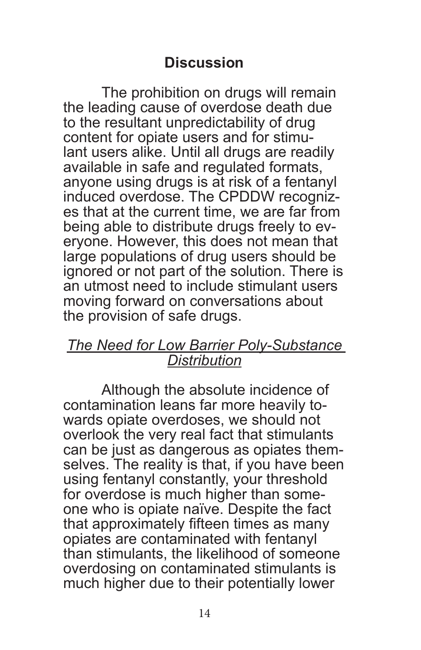# **Discussion**

The prohibition on drugs will remain the leading cause of overdose death due to the resultant unpredictability of drug content for opiate users and for stimulant users alike. Until all drugs are readily available in safe and regulated formats, anyone using drugs is at risk of a fentanyl es that at the current time, we are far from<br>being able to distribute drugs freely to evervone. However, this does not mean that large populations of drug users should be ignored or not part of the solution. There is an utmost need to include stimulant users moving forward on conversations about the provision of safe drugs.

#### *The Need for Low Barrier Poly-Substance Distribution*

Although the absolute incidence of contamination leans far more heavily towards opiate overdoses, we should not overlook the very real fact that stimulants can be just as dangerous as opiates them- selves. The reality is that, if you have been using fentanyl constantly, your threshold one who is opiate naïve. Despite the fact that approximately fifteen times as many opiates are contaminated with fentanyl than stimulants, the likelihood of someone overdosing on contaminated stimulants is much higher due to their potentially lower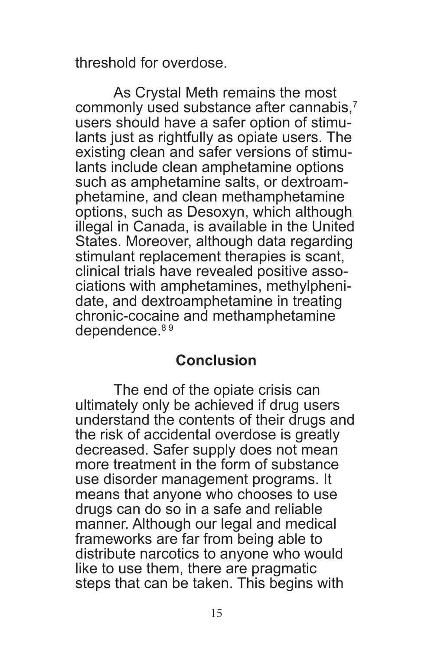threshold for overdose.

As Crystal Meth remains the most commonly used substance after cannabis,<sup>7</sup> users should have a safer option of stimulants just as rightfully as opiate users. The existing clean and safer versions of stimulants include clean amphetamine options<br>such as amphetamine salts, or dextroamphetamine, and clean methamphetamine options, such as Desoxyn, which although illegal in Canada, is available in the United States. Moreover, although data regarding stimulant replacement therapies is scant, clinical trials have revealed positive associations with amphetamines, methylpheni-<br>date, and dextroamphetamine in treating chronic-cocaine and methamphetamine dependence.<sup>89</sup>

## **Conclusion**

The end of the opiate crisis can ultimately only be achieved if drug users understand the contents of their drugs and the risk of accidental overdose is greatly decreased. Safer supply does not mean more treatment in the form of substance use disorder management programs. It means that anyone who chooses to use drugs can do so in a safe and reliable manner. Although our legal and medical frameworks are far from being able to distribute narcotics to anyone who would like to use them, there are pragmatic steps that can be taken. This begins with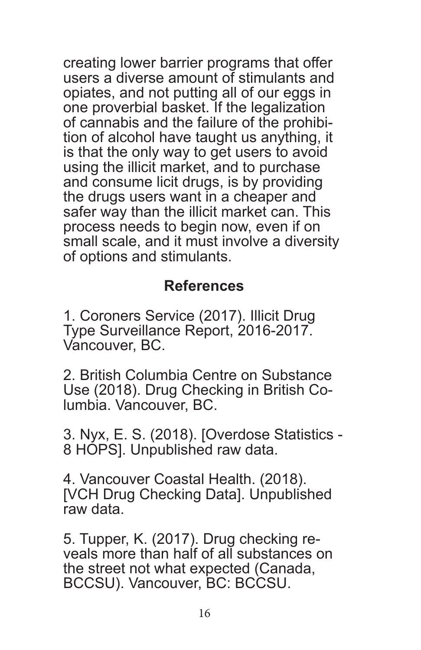creating lower barrier programs that offer users a diverse amount of stimulants and opiates, and not putting all of our eggs in one proverbial basket. If the legalization of cannabis and the failure of the prohibition of alcohol have taught us anything, it is that the only way to get users to avoid using the illicit market, and to purchase and consume licit drugs, is by providing the drugs users want in a cheaper and safer way than the illicit market can. This process needs to begin now, even if on small scale, and it must involve a diversity of options and stimulants.

## **References**

1. Coroners Service (2017). Illicit Drug Type Surveillance Report, 2016-2017. Vancouver, BC.

2. British Columbia Centre on Substance Use (2018). Drug Checking in British Co- lumbia. Vancouver, BC.

3. Nyx, E. S. (2018). [Overdose Statistics - 8 HOPS]. Unpublished raw data.

4. Vancouver Coastal Health. (2018). [VCH Drug Checking Data]. Unpublished raw data.

5. Tupper, K. (2017). Drug checking reveals more than half of all substances on the street not what expected (Canada, BCCSU). Vancouver, BC: BCCSU.